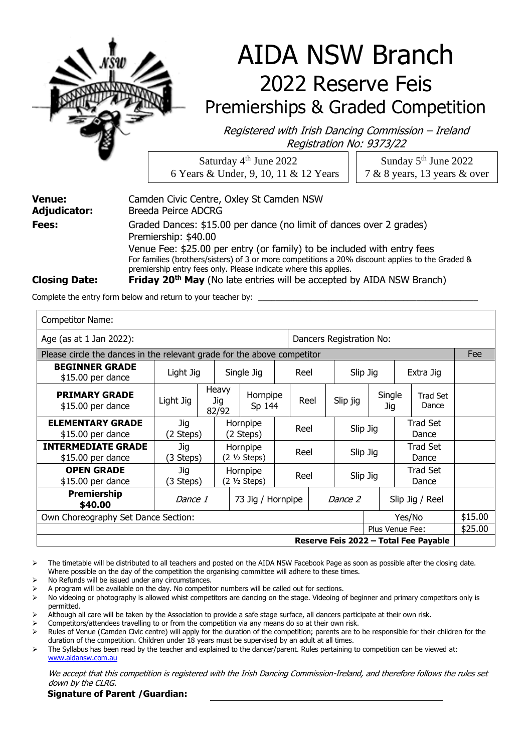

# AIDA NSW Branch  2022 Reserve Feis Premierships & Graded Competition

Registered with Irish Dancing Commission – Ireland Registration No: 9373/22

| Saturday $4th$ June 2022                 | Sunday $5th$ June 2022                              |
|------------------------------------------|-----------------------------------------------------|
| 6 Years & Under, 9, 10, 11 & 12 Years    | $\begin{array}{ c c }$ 7 & 8 years, 13 years & over |
| Camden Civic Centre, Oxley St Camden NSW |                                                     |

| <b>Venue:</b>        | Camden Civic Centre, Oxley St Camden NSW                                                                                                                                                                                                        |
|----------------------|-------------------------------------------------------------------------------------------------------------------------------------------------------------------------------------------------------------------------------------------------|
| Adjudicator:         | Breeda Peirce ADCRG                                                                                                                                                                                                                             |
| Fees:                | Graded Dances: \$15.00 per dance (no limit of dances over 2 grades)<br>Premiership: \$40.00                                                                                                                                                     |
|                      | Venue Fee: \$25.00 per entry (or family) to be included with entry fees<br>For families (brothers/sisters) of 3 or more competitions a 20% discount applies to the Graded &<br>premiership entry fees only. Please indicate where this applies. |
| <b>Closing Date:</b> | <b>Friday 20<sup>th</sup> May</b> (No late entries will be accepted by AIDA NSW Branch)                                                                                                                                                         |

Complete the entry form below and return to your teacher by:

| <b>Competitor Name:</b>                                                 |                              |  |                                             |                                            |  |         |                          |          |                 |                   |                          |     |
|-------------------------------------------------------------------------|------------------------------|--|---------------------------------------------|--------------------------------------------|--|---------|--------------------------|----------|-----------------|-------------------|--------------------------|-----|
| Age (as at 1 Jan 2022):                                                 |                              |  |                                             |                                            |  |         | Dancers Registration No: |          |                 |                   |                          |     |
| Please circle the dances in the relevant grade for the above competitor |                              |  |                                             |                                            |  |         |                          |          |                 |                   |                          | Fee |
| <b>BEGINNER GRADE</b><br>\$15.00 per dance                              | Light Jig                    |  | Single Jig                                  |                                            |  | Reel    |                          |          | Slip Jig        |                   | Extra Jig                |     |
| <b>PRIMARY GRADE</b><br>\$15.00 per dance                               | Light Jig                    |  | Heavy<br>Hornpipe<br>Jig<br>Sp 144<br>82/92 |                                            |  | Reel    |                          | Slip jig | Single<br>Jig   |                   | <b>Trad Set</b><br>Dance |     |
| <b>ELEMENTARY GRADE</b><br>\$15.00 per dance                            | Jig<br>(2 Steps)             |  | Hornpipe<br>(2 Steps)                       |                                            |  | Reel    |                          |          | Slip Jig        |                   | Trad Set<br>Dance        |     |
| <b>INTERMEDIATE GRADE</b><br>\$15.00 per dance                          | Jig<br>(3 Steps)             |  |                                             | Hornpipe<br>$(2 \frac{1}{2} \text{Steps})$ |  | Reel    |                          | Slip Jig |                 | Trad Set<br>Dance |                          |     |
| <b>OPEN GRADE</b><br>\$15.00 per dance                                  | Jig<br>(3 Steps)             |  | Hornpipe<br>(2 ½ Steps)                     |                                            |  | Reel    |                          |          | Slip Jig        |                   | Trad Set<br>Dance        |     |
| <b>Premiership</b><br>\$40.00                                           | Dance 1<br>73 Jig / Hornpipe |  |                                             |                                            |  | Dance 2 |                          |          | Slip Jig / Reel |                   |                          |     |
| Own Choreography Set Dance Section:<br>Yes/No                           |                              |  |                                             |                                            |  |         |                          |          |                 |                   | \$15.00                  |     |
| Plus Venue Fee:                                                         |                              |  |                                             |                                            |  |         |                          |          |                 |                   | \$25.00                  |     |
| Reserve Feis 2022 - Total Fee Payable                                   |                              |  |                                             |                                            |  |         |                          |          |                 |                   |                          |     |

➢ The timetable will be distributed to all teachers and posted on the AIDA NSW Facebook Page as soon as possible after the closing date. Where possible on the day of the competition the organising committee will adhere to these times.

➢ No Refunds will be issued under any circumstances.

➢ A program will be available on the day. No competitor numbers will be called out for sections.

➢ No videoing or photography is allowed whist competitors are dancing on the stage. Videoing of beginner and primary competitors only is permitted.

➢ Although all care will be taken by the Association to provide a safe stage surface, all dancers participate at their own risk.

➢ Competitors/attendees travelling to or from the competition via any means do so at their own risk. ➢ Rules of Venue (Camden Civic centre) will apply for the duration of the competition; parents are to be responsible for their children for the

duration of the competition. Children under 18 years must be supervised by an adult at all times.

➢ The Syllabus has been read by the teacher and explained to the dancer/parent. Rules pertaining to competition can be viewed at: [www.aidansw.com.au](http://www.aidansw.com.au/)

We accept that this competition is registered with the Irish Dancing Commission-Ireland, and therefore follows the rules set down by the CLRG.

#### **Signature of Parent /Guardian:**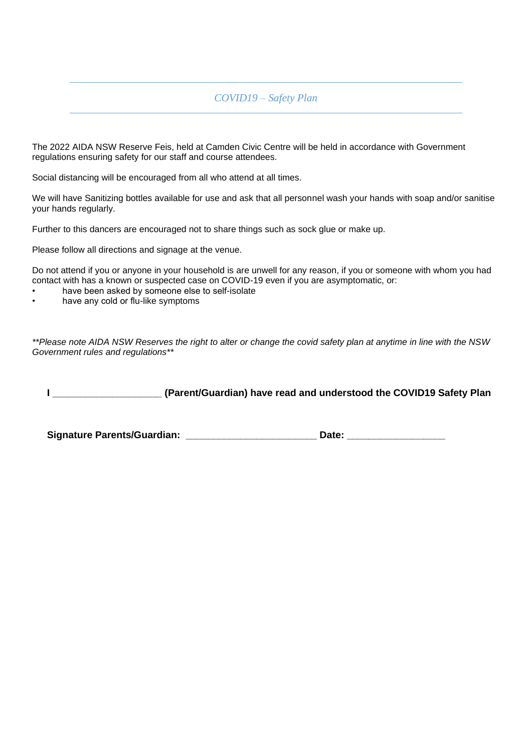### *COVID19 – Safety Plan*

The 2022 AIDA NSW Reserve Feis, held at Camden Civic Centre will be held in accordance with Government regulations ensuring safety for our staff and course attendees.

Social distancing will be encouraged from all who attend at all times.

We will have Sanitizing bottles available for use and ask that all personnel wash your hands with soap and/or sanitise your hands regularly.

Further to this dancers are encouraged not to share things such as sock glue or make up.

Please follow all directions and signage at the venue.

Do not attend if you or anyone in your household is are unwell for any reason, if you or someone with whom you had contact with has a known or suspected case on COVID-19 even if you are asymptomatic, or:

- have been asked by someone else to self-isolate
- have any cold or flu-like symptoms

*\*\*Please note AIDA NSW Reserves the right to alter or change the covid safety plan at anytime in line with the NSW Government rules and regulations\*\** 

**I \_\_\_\_\_\_\_\_\_\_\_\_\_\_\_\_\_\_\_\_ (Parent/Guardian) have read and understood the COVID19 Safety Plan**

Signature Parents/Guardian: **Example 2018** Date: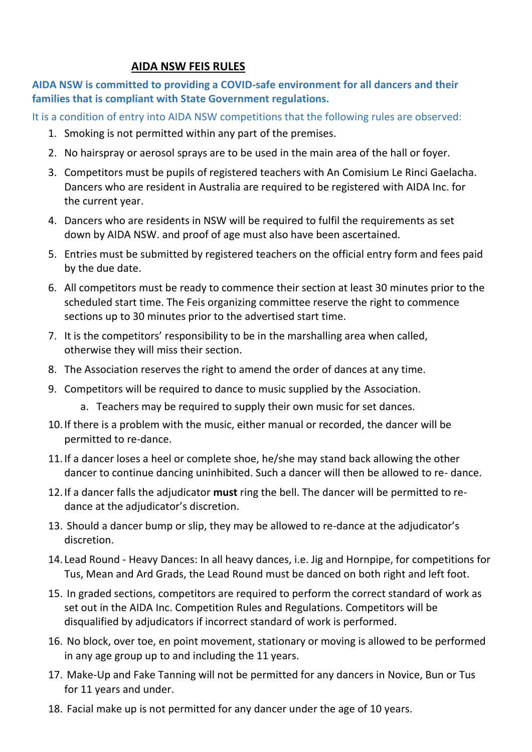# **AIDA NSW FEIS RULES**

**AIDA NSW is committed to providing a COVID-safe environment for all dancers and their families that is compliant with State Government regulations.**

It is a condition of entry into AIDA NSW competitions that the following rules are observed:

- 1. Smoking is not permitted within any part of the premises.
- 2. No hairspray or aerosol sprays are to be used in the main area of the hall or foyer.
- 3. Competitors must be pupils of registered teachers with An Comisium Le Rinci Gaelacha. Dancers who are resident in Australia are required to be registered with AIDA Inc. for the current year.
- 4. Dancers who are residents in NSW will be required to fulfil the requirements as set down by AIDA NSW. and proof of age must also have been ascertained.
- 5. Entries must be submitted by registered teachers on the official entry form and fees paid by the due date.
- 6. All competitors must be ready to commence their section at least 30 minutes prior to the scheduled start time. The Feis organizing committee reserve the right to commence sections up to 30 minutes prior to the advertised start time.
- 7. It is the competitors' responsibility to be in the marshalling area when called, otherwise they will miss their section.
- 8. The Association reserves the right to amend the order of dances at any time.
- 9. Competitors will be required to dance to music supplied by the Association.
	- a. Teachers may be required to supply their own music for set dances.
- 10.If there is a problem with the music, either manual or recorded, the dancer will be permitted to re-dance.
- 11.If a dancer loses a heel or complete shoe, he/she may stand back allowing the other dancer to continue dancing uninhibited. Such a dancer will then be allowed to re- dance.
- 12.If a dancer falls the adjudicator **must** ring the bell. The dancer will be permitted to redance at the adjudicator's discretion.
- 13. Should a dancer bump or slip, they may be allowed to re-dance at the adjudicator's discretion.
- 14. Lead Round Heavy Dances: In all heavy dances, i.e. Jig and Hornpipe, for competitions for Tus, Mean and Ard Grads, the Lead Round must be danced on both right and left foot.
- 15. In graded sections, competitors are required to perform the correct standard of work as set out in the AIDA Inc. Competition Rules and Regulations. Competitors will be disqualified by adjudicators if incorrect standard of work is performed.
- 16. No block, over toe, en point movement, stationary or moving is allowed to be performed in any age group up to and including the 11 years.
- 17. Make-Up and Fake Tanning will not be permitted for any dancers in Novice, Bun or Tus for 11 years and under.
- 18. Facial make up is not permitted for any dancer under the age of 10 years.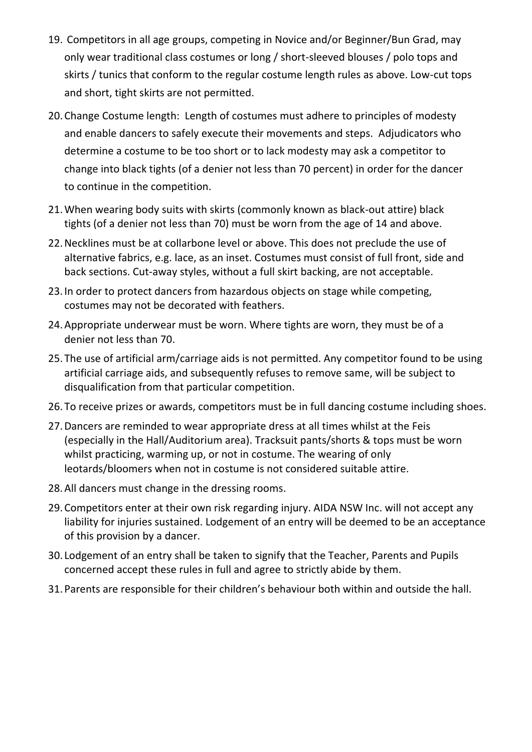- 19. Competitors in all age groups, competing in Novice and/or Beginner/Bun Grad, may only wear traditional class costumes or long / short-sleeved blouses / polo tops and skirts / tunics that conform to the regular costume length rules as above. Low-cut tops and short, tight skirts are not permitted.
- 20.Change Costume length: Length of costumes must adhere to principles of modesty and enable dancers to safely execute their movements and steps. Adjudicators who determine a costume to be too short or to lack modesty may ask a competitor to change into black tights (of a denier not less than 70 percent) in order for the dancer to continue in the competition.
- 21.When wearing body suits with skirts (commonly known as black-out attire) black tights (of a denier not less than 70) must be worn from the age of 14 and above.
- 22.Necklines must be at collarbone level or above. This does not preclude the use of alternative fabrics, e.g. lace, as an inset. Costumes must consist of full front, side and back sections. Cut-away styles, without a full skirt backing, are not acceptable.
- 23.In order to protect dancers from hazardous objects on stage while competing, costumes may not be decorated with feathers.
- 24.Appropriate underwear must be worn. Where tights are worn, they must be of a denier not less than 70.
- 25.The use of artificial arm/carriage aids is not permitted. Any competitor found to be using artificial carriage aids, and subsequently refuses to remove same, will be subject to disqualification from that particular competition.
- 26.To receive prizes or awards, competitors must be in full dancing costume including shoes.
- 27.Dancers are reminded to wear appropriate dress at all times whilst at the Feis (especially in the Hall/Auditorium area). Tracksuit pants/shorts & tops must be worn whilst practicing, warming up, or not in costume. The wearing of only leotards/bloomers when not in costume is not considered suitable attire.
- 28.All dancers must change in the dressing rooms.
- 29.Competitors enter at their own risk regarding injury. AIDA NSW Inc. will not accept any liability for injuries sustained. Lodgement of an entry will be deemed to be an acceptance of this provision by a dancer.
- 30. Lodgement of an entry shall be taken to signify that the Teacher, Parents and Pupils concerned accept these rules in full and agree to strictly abide by them.
- 31.Parents are responsible for their children's behaviour both within and outside the hall.